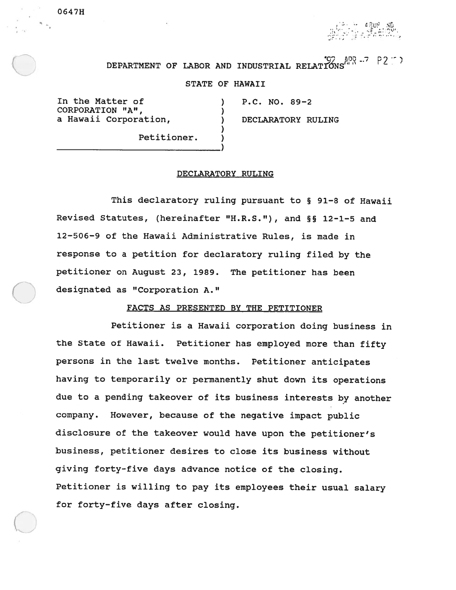•U,.

#### .0' 1JD.7 DEPARTMENT OF LABOR AND INDUSTRIAL RELATIONS'"'

# STATE OF HAWAII

In the Matter of (a) (b) P.C. NO. 89-2<br>
CORPORATION "A", (corporation, c) (b) DECLARATORY RULING a Hawaii Corporation,

0647H

Petitioner.

### DECLARATORY RULING

This declaratory ruling pursuan<sup>t</sup> to § 91-8 of Hawaii Revised Statutes, (hereinafter "H.R.S."), and §§ 12-1-5 and 12-506—9 of the Hawaii Administrative Rules, is made in response to <sup>a</sup> petition for declaratory ruling filed by the petitioner on August 23, 1989. The petitioner has been designated as "Corporation A."

## FACTS AS PRESENTED BY THE PETITIONER

Petitioner is <sup>a</sup> Hawaii corporation doing business in the State of Hawaii. Petitioner has employed more than fifty persons in the last twelve months. Petitioner anticipates having to temporarily or permanently shut down its operations due to <sup>a</sup> pending takeover of its business interests by another company. However, because of the negative impact public disclosure of the takeover would have upon the petitioner's business, petitioner desires to close its business without <sup>g</sup>iving forty-five days advance notice of the closing. Petitioner is willing to pay its employees their usual salary for forty-five days after closing.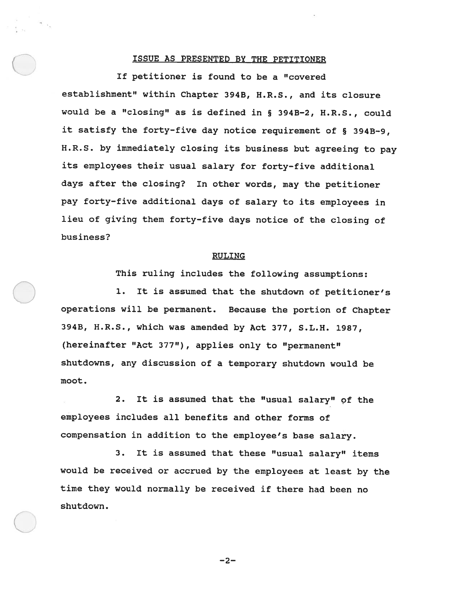### ISSUE AS PRESENTED BY THE PETITIONER

If petitioner is found to be <sup>a</sup> "covered establishment" within Chapter 3943, H.R.S., and its closure would be <sup>a</sup> "closing" as is defined in § 3943-2, H.R.S., could it satisfy the forty-five day notice requirement of § 394B—9, H.R.S. by immediately closing its business but agreeing to pay its employees their usual salary for forty-five additional days after the closing? In other words, may the petitioner pay forty-five additional days of salary to its employees in lieu of <sup>g</sup>iving them forty-five days notice of the closing of business?

### RULING

This ruling includes the following assumptions:

1. It is assumed that the shutdown of petitioner's operations will be permanent. Because the portion of Chapter 3943, H.R.S., which was amended by Act 377, S.L.H. 1987, (hereinafter "Act 377"), applies only to "permanent" shutdowns, any discussion of <sup>a</sup> temporary shutdown would be moot.

2. It is assumed that the "usual salary" of the employees includes all benefits and other forms of compensation in addition to the employee's base salary.

3. It is assumed that these "usual salary" items would be received or accrued by the employees at least by the time they would normally be received if there had been no shutdown.

—2—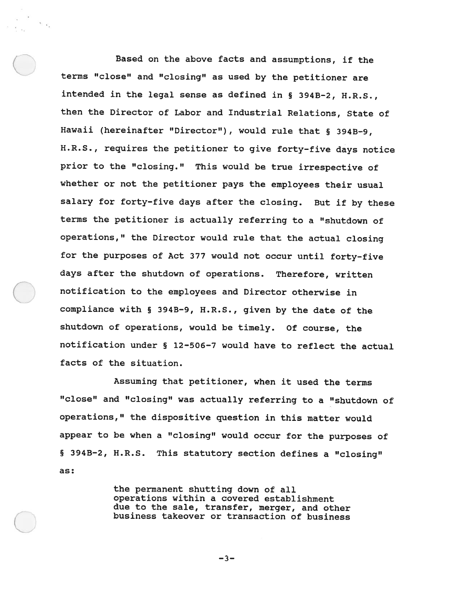Based on the above facts and assumptions, if the terms "close" and "closing" as used by the petitioner are intended in the legal sense as defined in § 3943-2, H.R.S., then the Director of Labor and Industrial Relations, State of Hawaii (hereinafter "Director"), would rule that § 3943—9, H..R.S., requires the petitioner to <sup>g</sup>ive forty-five days notice prior to the "closing." This would be true irrespective of whether or not the petitioner pays the employees their usual salary for forty-five days after the closing. But if by these terms the petitioner is actually referring to <sup>a</sup> "shutdown of operations," the Director would rule that the actual closing for the purposes of Act <sup>377</sup> would not occur until forty-five days after the shutdown of operations. Therefore, written notification to the employees and Director otherwise in compliance with § 3948-9, H.R.S., <sup>g</sup>iven by the date of the shutdown of operations, would be timely. Of course, the notification under § 12-506-7 would have to reflect the actual facts of the situation.

Assuming that petitioner, when it used the terms "close" and "closing" was actually referring to <sup>a</sup> "shutdown of operations," the dispositive question in this matter would appear to be when <sup>a</sup> "closing" would occur for the purposes of § 394B—2, H.R.S. This statutory section defines <sup>a</sup> "closing" as:

> the permanent shutting down of all operations within <sup>a</sup> covered establishment due to the sale, transfer, merger, and other business takeover or transaction of business

> > —3—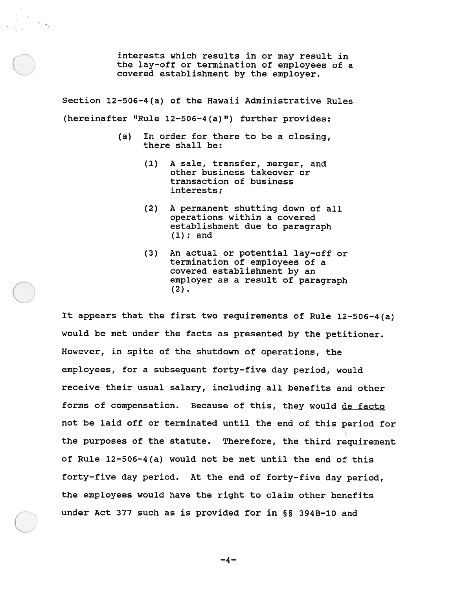interests which results in or may result in the lay—off or termination of employees of <sup>a</sup> covered establishment by the employer.

Section 12—506-4(a) of the Hawaii Administrative Rules (hereinafter "Rule 12-506—4(a)") further provides:

 $\sim$   $\epsilon_{\rm v}$ 

- ( a) In order for there to be <sup>a</sup> closing, there shall be:
	- (1) A sale, transfer, merger, and other business takeover or transaction of business interests;
	- (2) A permanen<sup>t</sup> shutting down of all operations within <sup>a</sup> covered establishment due to paragraph (1); and
	- (3) An actual or potential lay-off or termination of employees of <sup>a</sup> covered establishment by an employer as <sup>a</sup> result of paragraph  $(2)$ .

It appears that the first two requirements of Rule 12-506-4(a) would be met under the facts as presented by the petitioner. However, in spite of the shutdown of operations, the employees, for <sup>a</sup> subsequent forty-five day period, would receive their usual salary, including all benefits and other forms of compensation. Because of this, they would de facto not be laid off or terminated until the end of this period for the purposes of the statute. Therefore, the third requirement of Rule 12-506-4(a) would not be met until the end of this forty—five day period. At the end of forty-five day period, the employees would have the right to claim other benefits under Act <sup>377</sup> such as is provided for in §5 394B-lO and

 $-4-$